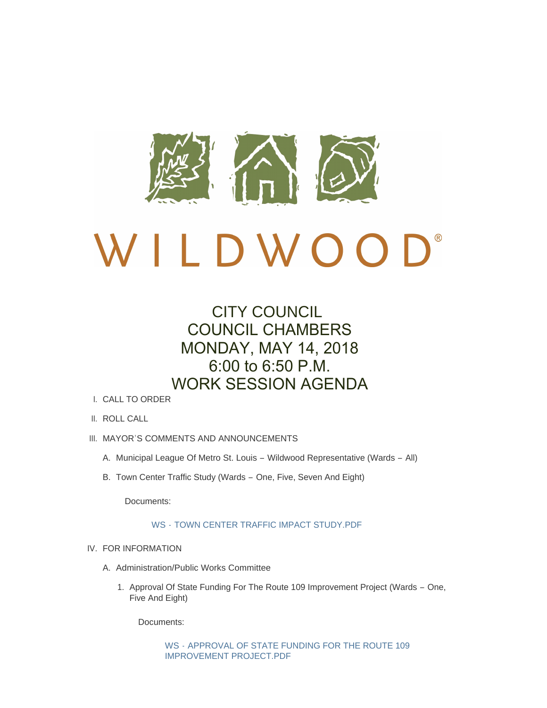

# CITY COUNCIL COUNCIL CHAMBERS MONDAY, MAY 14, 2018 6:00 to 6:50 P.M. WORK SESSION AGENDA

- CALL TO ORDER I.
- II. ROLL CALL
- III. MAYOR'S COMMENTS AND ANNOUNCEMENTS
	- A. Municipal League Of Metro St. Louis Wildwood Representative (Wards All)
	- B. Town Center Traffic Study (Wards One, Five, Seven And Eight)

Documents:

## WS - [TOWN CENTER TRAFFIC IMPACT STUDY.PDF](http://www.cityofwildwood.com/AgendaCenter/ViewFile/Item/15455?fileID=20805)

- IV. FOR INFORMATION
	- A. Administration/Public Works Committee
		- 1. Approval Of State Funding For The Route 109 Improvement Project (Wards One, Five And Eight)

Documents:

WS - [APPROVAL OF STATE FUNDING FOR THE ROUTE 109](http://www.cityofwildwood.com/AgendaCenter/ViewFile/Item/15458?fileID=20806)  IMPROVEMENT PROJECT.PDF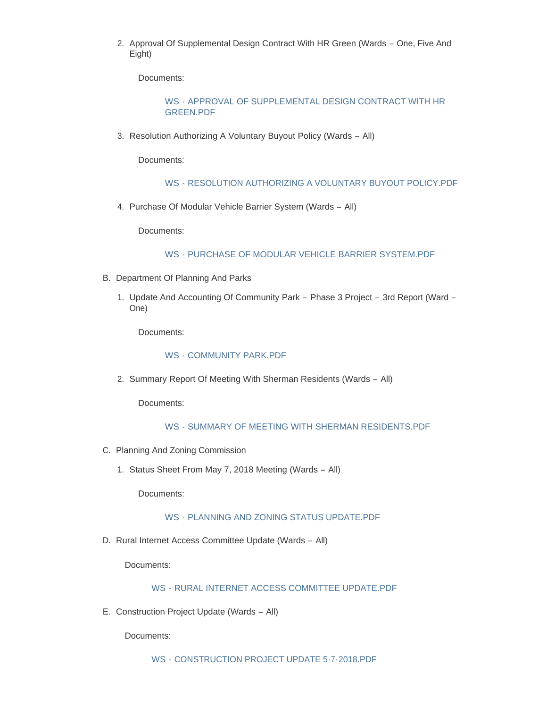2. Approval Of Supplemental Design Contract With HR Green (Wards - One, Five And Eight)

Documents:

## WS - [APPROVAL OF SUPPLEMENTAL DESIGN CONTRACT WITH HR](http://www.cityofwildwood.com/AgendaCenter/ViewFile/Item/15459?fileID=20807)  GREEN.PDF

3. Resolution Authorizing A Voluntary Buyout Policy (Wards - All)

Documents:

## WS - [RESOLUTION AUTHORIZING A VOLUNTARY BUYOUT POLICY.PDF](http://www.cityofwildwood.com/AgendaCenter/ViewFile/Item/15460?fileID=20808)

4. Purchase Of Modular Vehicle Barrier System (Wards - All)

Documents:

## WS - [PURCHASE OF MODULAR VEHICLE BARRIER SYSTEM.PDF](http://www.cityofwildwood.com/AgendaCenter/ViewFile/Item/15461?fileID=20809)

- B. Department Of Planning And Parks
	- 1. Update And Accounting Of Community Park Phase 3 Project 3rd Report (Ward -One)

Documents:

## WS - [COMMUNITY PARK.PDF](http://www.cityofwildwood.com/AgendaCenter/ViewFile/Item/15463?fileID=20810)

2. Summary Report Of Meeting With Sherman Residents (Wards - All)

Documents:

## WS - [SUMMARY OF MEETING WITH SHERMAN RESIDENTS.PDF](http://www.cityofwildwood.com/AgendaCenter/ViewFile/Item/15464?fileID=20811)

- C. Planning And Zoning Commission
	- 1. Status Sheet From May 7, 2018 Meeting (Wards All)

Documents:

## WS - [PLANNING AND ZONING STATUS UPDATE.PDF](http://www.cityofwildwood.com/AgendaCenter/ViewFile/Item/15466?fileID=20812)

D. Rural Internet Access Committee Update (Wards - All)

Documents:

## WS - [RURAL INTERNET ACCESS COMMITTEE UPDATE.PDF](http://www.cityofwildwood.com/AgendaCenter/ViewFile/Item/15467?fileID=20813)

E. Construction Project Update (Wards - All)

Documents: